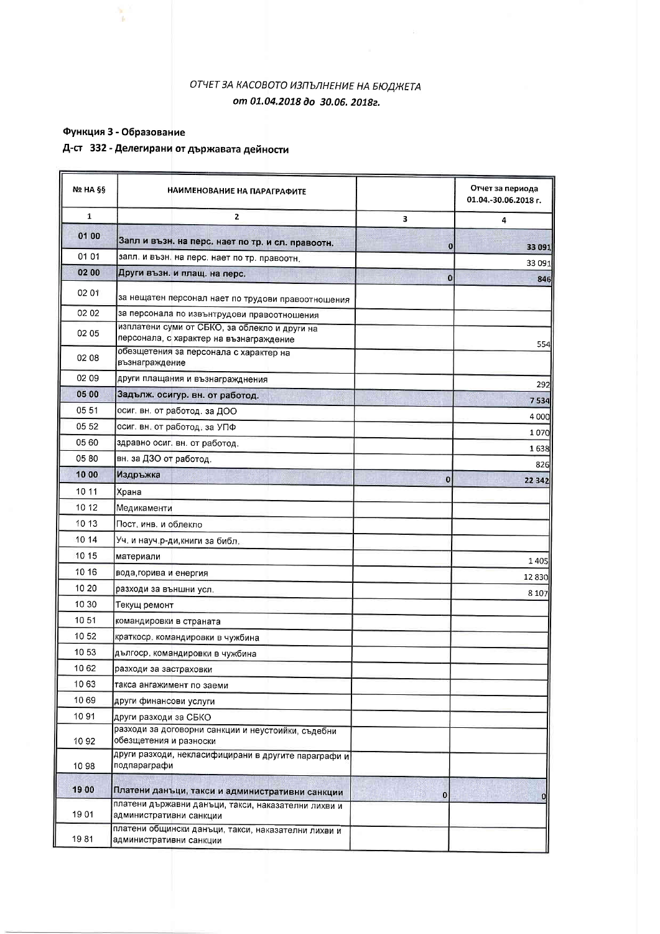#### ОТЧЕТ ЗА КАСОВОТО ИЗПЪЛНЕНИЕ НА БЮДЖЕТА от 01.04.2018 до 30.06. 2018г.

# Функция 3 - Образование

m

## Д-ст 332 - Делегирани от държавата дейности

| <b>Nº HA §§</b> | НАИМЕНОВАНИЕ НА ПАРАГРАФИТЕ                                                              |          | Отчет за периода<br>01.04.-30.06.2018 г. |
|-----------------|------------------------------------------------------------------------------------------|----------|------------------------------------------|
| 1               | 2                                                                                        | 3        | 4                                        |
| 01 00           | Запл и възн. на перс. нает по тр. и сл. правоотн.                                        | $\bf{0}$ | 33 091                                   |
| 01 01           | запл. и възн. на перс. нает по тр. правоотн.                                             |          | 33 091                                   |
| 02 00           | Други възн. и плащ. на перс.                                                             | $\bf{0}$ | 846                                      |
| 02 01           | за нещатен персонал нает по трудови правоотношения                                       |          |                                          |
| 02 02           | за персонала по извънтрудови правоотношения                                              |          |                                          |
| 02 05           | изплатени суми от СБКО, за облекло и други на<br>персонала, с характер на възнаграждение |          | 554                                      |
| 02 08           | обезщетения за персонала с характер на<br>възнаграждение                                 |          |                                          |
| 02 09           | други плащания и възнагражднения                                                         |          | 292                                      |
| 05 00           | Задълж. осигур. вн. от работод.                                                          |          | 7534                                     |
| 05 51           | осиг. вн. от работод. за ДОО                                                             |          | 4 000                                    |
| 05 52           | осиг. вн. от работод. за УПФ                                                             |          | 1070                                     |
| 05 60           | здравно осиг. вн. от работод.                                                            |          | 1638                                     |
| 05 80           | вн. за ДЗО от работод.                                                                   |          | 826                                      |
| 10 00           | Издръжка                                                                                 | $\bf{0}$ | 22 342                                   |
| 10 11           | Храна                                                                                    |          |                                          |
| 10 12           | Медикаменти                                                                              |          |                                          |
| 10 13           | Пост. инв. и облекло                                                                     |          |                                          |
| 10 14           | Уч, и науч р-ди, книги за библ.                                                          |          |                                          |
| 10 15           | материали                                                                                |          | 1405                                     |
| 10 16           | вода, горива и енергия                                                                   |          | 12830                                    |
| 10 20           | разходи за външни усл.                                                                   |          | 8 1 0 7                                  |
| 10 30           | Текущ ремонт                                                                             |          |                                          |
| 10 51           | командировки в страната                                                                  |          |                                          |
| 1052            | краткоср. командировки в чужбина                                                         |          |                                          |
| 10 53           | дългоср. командировки в чужбина                                                          |          |                                          |
| 1062            | разходи за застраховки                                                                   |          |                                          |
| 1063            | такса ангажимент по заеми                                                                |          |                                          |
| 1069            | други финансови услуги                                                                   |          |                                          |
| 1091            | други разходи за СБКО                                                                    |          |                                          |
| 1092            | разходи за договорни санкции и неустоийки, съдебни<br>обезщетения и разноски             |          |                                          |
| 10 98           | други разходи, некласифицирани в другите параграфи и<br>подпараграфи                     |          |                                          |
| 1900            | Платени данъци, такси и административни санкции                                          | $\bf{0}$ |                                          |
| 1901            | платени държавни данъци, такси, наказателни лихви и<br>административни санкции           |          |                                          |
| 1981            | платени общински данъци, такси, наказателни лихви и<br>административни санкции           |          |                                          |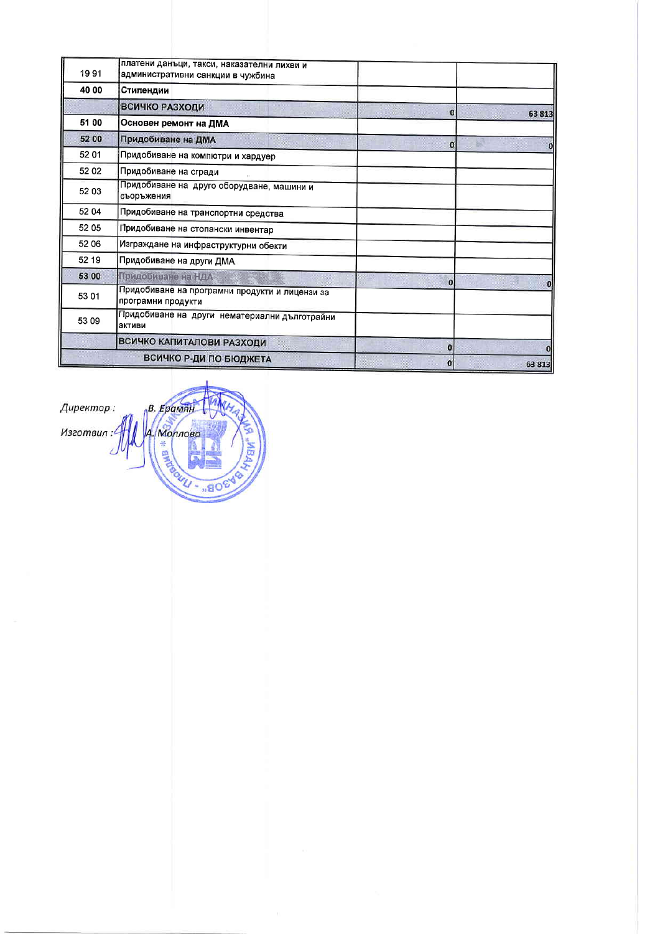| 1991  | платени данъци, такси, наказателни лихви и<br>административни санкции в чужбина |          |            |
|-------|---------------------------------------------------------------------------------|----------|------------|
| 40 00 | Стипендии                                                                       |          |            |
|       | ВСИЧКО РАЗХОДИ                                                                  | $\bf{0}$ | 63813      |
| 51 00 | Основен ремонт на ДМА                                                           |          |            |
| 52 00 | Придобиване на ДМА                                                              | $\Omega$ | .<br>Vitev |
| 52 01 | Придобиване на компютри и хардуер                                               |          |            |
| 52 02 | Придобиване на сгради                                                           |          |            |
| 52 03 | Придобиване на друго оборудване, машини и<br>съоръжения                         |          |            |
| 52 04 | Придобиване на транспортни средства                                             |          |            |
| 52 05 | Придобиване на стопански инвентар                                               |          |            |
| 52 06 | Изграждане на инфраструктурни обекти                                            |          |            |
| 52 19 | Придобиване на други ДМА                                                        |          |            |
| 53 00 | Придобиване на НДА                                                              | $\bf{0}$ |            |
| 53 01 | Придобиване на програмни продукти и лицензи за<br>програмни продукти            |          | $\bf{0}$   |
| 53 09 | Придобиване на други нематериални дълготрайни<br>активи                         |          |            |
|       | ВСИЧКО КАПИТАЛОВИ РАЗХОДИ                                                       | $\bf{0}$ |            |
|       | ВСИЧКО Р-ДИ ПО БЮДЖЕТА                                                          | $\bf{0}$ | 63 813     |

B. EpamaH Директор: A. Nonnoea Изготвил: **R \* Ellided 1** .. 80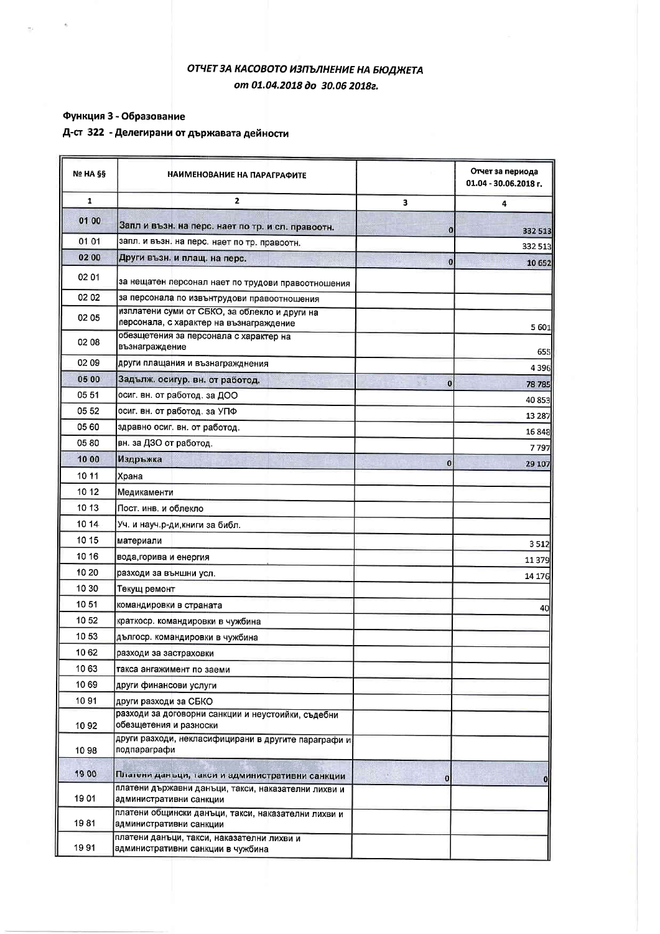#### ОТЧЕТ ЗА КАСОВОТО ИЗПЪЛНЕНИЕ НА БЮДЖЕТА от 01.04.2018 до 30.06 2018г.

#### Функция 3 - Образование

### Д-ст 322 - Делегирани от държавата дейности

| Nº HA §§ | НАИМЕНОВАНИЕ НА ПАРАГРАФИТЕ                                                                            |                  | Отчет за периода<br>01.04 - 30.06.2018 г. |
|----------|--------------------------------------------------------------------------------------------------------|------------------|-------------------------------------------|
| 1        | $\mathbf{2}$                                                                                           | з                | 4                                         |
| 01 00    | Запл и възн. на перс. нает по тр. и сл. правоотн.                                                      | 0                |                                           |
| 01 01    | запл. и възн. на перс. нает по тр. правоотн.                                                           |                  | 332 513<br>332 513                        |
| 02 00    | Други възн. и плащ. на перс.                                                                           | $\bf{0}$         | 10 652                                    |
| 02 01    |                                                                                                        |                  |                                           |
| 02 02    | за нещатен персонал нает по трудови правоотношения<br>за персонала по извънтрудови правоотношения      |                  |                                           |
|          | изплатени суми от СБКО, за облекло и други на                                                          |                  |                                           |
| 02 05    | персонала, с характер на възнаграждение                                                                |                  | 5 601                                     |
| 02 08    | обезщетения за персонала с характер на<br>възнаграждение                                               |                  |                                           |
| 02 09    | други плащания и възнагражднения                                                                       |                  | 655<br>4396                               |
| 05 00    | Задълж. осигур. вн. от работод.                                                                        | $\boldsymbol{0}$ | 78785                                     |
| 05 51    | осиг. вн. от работод. за ДОО                                                                           |                  | 40 853                                    |
| 05 52    | осиг. вн. от работод. за УПФ                                                                           |                  | 13 287                                    |
| 05 60    | здравно осиг. вн. от работод.                                                                          |                  | 16 848                                    |
| 05 80    | вн. за ДЗО от работод.                                                                                 |                  | 7797                                      |
| 10 00    | Издръжка                                                                                               | o                | 29 10 7                                   |
| 10 11    | Храна                                                                                                  |                  |                                           |
| 10 12    | Медикаменти                                                                                            |                  |                                           |
| 10 13    | Пост. инв. и облекло                                                                                   |                  |                                           |
| 10 14    | Уч. и науч.р-ди, книги за библ.                                                                        |                  |                                           |
| 10 15    | материали                                                                                              |                  | 3512                                      |
| 10 16    | вода, горива и енергия                                                                                 |                  | 11379                                     |
| 10 20    | разходи за външни усл.                                                                                 |                  | 14 176                                    |
| 10 30    | Текущ ремонт                                                                                           |                  |                                           |
| 10 51    | командировки в страната                                                                                |                  | 40                                        |
| 10 52    | краткоср. командировки в чужбина                                                                       |                  |                                           |
| 1053     | дългоср. командировки в чужбина                                                                        |                  |                                           |
| 1062     | разходи за застраховки                                                                                 |                  |                                           |
| 1063     | такса ангажимент по заеми                                                                              |                  |                                           |
| 1069     | други финансови услуги                                                                                 |                  |                                           |
| 1091     | други разходи за СБКО                                                                                  |                  |                                           |
| 1092     | разходи за договорни санкции и неустоийки, съдебни<br>обезщетения и разноски                           |                  |                                           |
| 10 98    | други разходи, некласифицирани в другите параграфи и<br>подпараграфи                                   |                  |                                           |
| 19 00    |                                                                                                        |                  |                                           |
|          | Платени данъци, такси и административни санкции<br>платени държавни данъци, такси, наказателни лихви и | $\bf{0}$         |                                           |
| 1901     | административни санкции<br>платени общински данъци, такси, наказателни лихви и                         |                  |                                           |
| 1981     | административни санкции                                                                                |                  |                                           |
| 1991     | платени данъци, такси, наказателни лихви и<br>административни санкции в чужбина                        |                  |                                           |